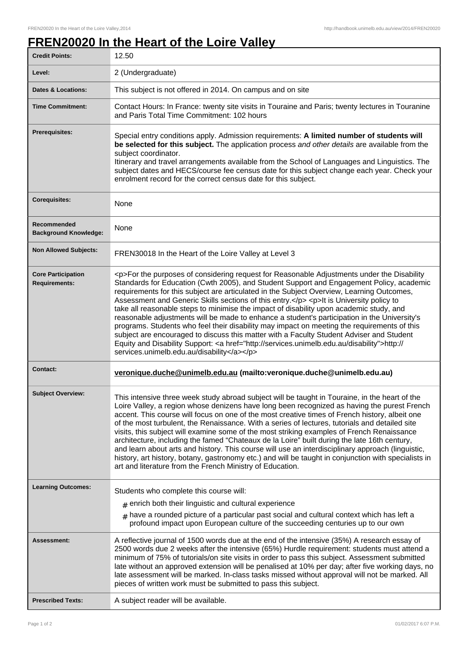## **FREN20020 In the Heart of the Loire Valley**

| <b>Credit Points:</b>                             | 12.50                                                                                                                                                                                                                                                                                                                                                                                                                                                                                                                                                                                                                                                                                                                                                                                                                                                                                                                        |
|---------------------------------------------------|------------------------------------------------------------------------------------------------------------------------------------------------------------------------------------------------------------------------------------------------------------------------------------------------------------------------------------------------------------------------------------------------------------------------------------------------------------------------------------------------------------------------------------------------------------------------------------------------------------------------------------------------------------------------------------------------------------------------------------------------------------------------------------------------------------------------------------------------------------------------------------------------------------------------------|
| Level:                                            | 2 (Undergraduate)                                                                                                                                                                                                                                                                                                                                                                                                                                                                                                                                                                                                                                                                                                                                                                                                                                                                                                            |
| <b>Dates &amp; Locations:</b>                     | This subject is not offered in 2014. On campus and on site                                                                                                                                                                                                                                                                                                                                                                                                                                                                                                                                                                                                                                                                                                                                                                                                                                                                   |
| <b>Time Commitment:</b>                           | Contact Hours: In France: twenty site visits in Touraine and Paris; twenty lectures in Touranine<br>and Paris Total Time Commitment: 102 hours                                                                                                                                                                                                                                                                                                                                                                                                                                                                                                                                                                                                                                                                                                                                                                               |
| <b>Prerequisites:</b>                             | Special entry conditions apply. Admission requirements: A limited number of students will<br>be selected for this subject. The application process and other details are available from the<br>subject coordinator.<br>Itinerary and travel arrangements available from the School of Languages and Linguistics. The<br>subject dates and HECS/course fee census date for this subject change each year. Check your<br>enrolment record for the correct census date for this subject.                                                                                                                                                                                                                                                                                                                                                                                                                                        |
| <b>Corequisites:</b>                              | None                                                                                                                                                                                                                                                                                                                                                                                                                                                                                                                                                                                                                                                                                                                                                                                                                                                                                                                         |
| Recommended<br><b>Background Knowledge:</b>       | None                                                                                                                                                                                                                                                                                                                                                                                                                                                                                                                                                                                                                                                                                                                                                                                                                                                                                                                         |
| <b>Non Allowed Subjects:</b>                      | FREN30018 In the Heart of the Loire Valley at Level 3                                                                                                                                                                                                                                                                                                                                                                                                                                                                                                                                                                                                                                                                                                                                                                                                                                                                        |
| <b>Core Participation</b><br><b>Requirements:</b> | <p>For the purposes of considering request for Reasonable Adjustments under the Disability<br/>Standards for Education (Cwth 2005), and Student Support and Engagement Policy, academic<br/>requirements for this subject are articulated in the Subject Overview, Learning Outcomes,<br/>Assessment and Generic Skills sections of this entry.</p> <p>lt is University policy to<br/>take all reasonable steps to minimise the impact of disability upon academic study, and<br/>reasonable adjustments will be made to enhance a student's participation in the University's<br/>programs. Students who feel their disability may impact on meeting the requirements of this<br/>subject are encouraged to discuss this matter with a Faculty Student Adviser and Student<br/>Equity and Disability Support: &lt; a href="http://services.unimelb.edu.au/disability"&gt;http://<br/>services.unimelb.edu.au/disability</p> |
| Contact:                                          | veronique.duche@unimelb.edu.au (mailto:veronique.duche@unimelb.edu.au)                                                                                                                                                                                                                                                                                                                                                                                                                                                                                                                                                                                                                                                                                                                                                                                                                                                       |
| <b>Subject Overview:</b>                          | This intensive three week study abroad subject will be taught in Touraine, in the heart of the<br>Loire Valley, a region whose denizens have long been recognized as having the purest French<br>accent. This course will focus on one of the most creative times of French history, albeit one<br>of the most turbulent, the Renaissance. With a series of lectures, tutorials and detailed site<br>visits, this subject will examine some of the most striking examples of French Renaissance<br>architecture, including the famed "Chateaux de la Loire" built during the late 16th century,<br>and learn about arts and history. This course will use an interdisciplinary approach (linguistic,<br>history, art history, botany, gastronomy etc.) and will be taught in conjunction with specialists in<br>art and literature from the French Ministry of Education.                                                    |
| <b>Learning Outcomes:</b>                         | Students who complete this course will:                                                                                                                                                                                                                                                                                                                                                                                                                                                                                                                                                                                                                                                                                                                                                                                                                                                                                      |
|                                                   | $#$ enrich both their linguistic and cultural experience<br>$*$ have a rounded picture of a particular past social and cultural context which has left a<br>profound impact upon European culture of the succeeding centuries up to our own                                                                                                                                                                                                                                                                                                                                                                                                                                                                                                                                                                                                                                                                                  |
| Assessment:                                       | A reflective journal of 1500 words due at the end of the intensive (35%) A research essay of<br>2500 words due 2 weeks after the intensive (65%) Hurdle requirement: students must attend a<br>minimum of 75% of tutorials/on site visits in order to pass this subject. Assessment submitted<br>late without an approved extension will be penalised at 10% per day; after five working days, no<br>late assessment will be marked. In-class tasks missed without approval will not be marked. All<br>pieces of written work must be submitted to pass this subject.                                                                                                                                                                                                                                                                                                                                                        |
| <b>Prescribed Texts:</b>                          | A subject reader will be available.                                                                                                                                                                                                                                                                                                                                                                                                                                                                                                                                                                                                                                                                                                                                                                                                                                                                                          |